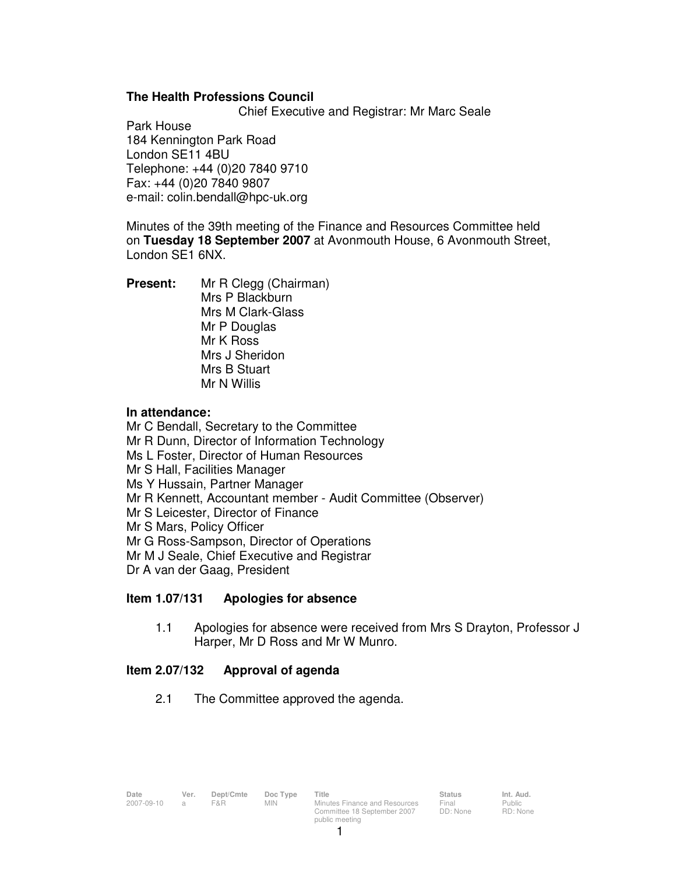# **The Health Professions Council**

Chief Executive and Registrar: Mr Marc Seale

Park House 184 Kennington Park Road London SE11 4BU Telephone: +44 (0)20 7840 9710 Fax: +44 (0)20 7840 9807 e-mail: colin.bendall@hpc-uk.org

Minutes of the 39th meeting of the Finance and Resources Committee held on **Tuesday 18 September 2007** at Avonmouth House, 6 Avonmouth Street, London SE1 6NX.

**Present:** Mr R Clegg (Chairman) Mrs P Blackburn Mrs M Clark-Glass Mr P Douglas Mr K Ross Mrs J Sheridon Mrs B Stuart Mr N Willis

## **In attendance:**

Mr C Bendall, Secretary to the Committee Mr R Dunn, Director of Information Technology Ms L Foster, Director of Human Resources Mr S Hall, Facilities Manager Ms Y Hussain, Partner Manager Mr R Kennett, Accountant member - Audit Committee (Observer) Mr S Leicester, Director of Finance Mr S Mars, Policy Officer Mr G Ross-Sampson, Director of Operations Mr M J Seale, Chief Executive and Registrar Dr A van der Gaag, President

# **Item 1.07/131 Apologies for absence**

1.1 Apologies for absence were received from Mrs S Drayton, Professor J Harper, Mr D Ross and Mr W Munro.

# **Item 2.07/132 Approval of agenda**

2.1 The Committee approved the agenda.

1

Final DD: None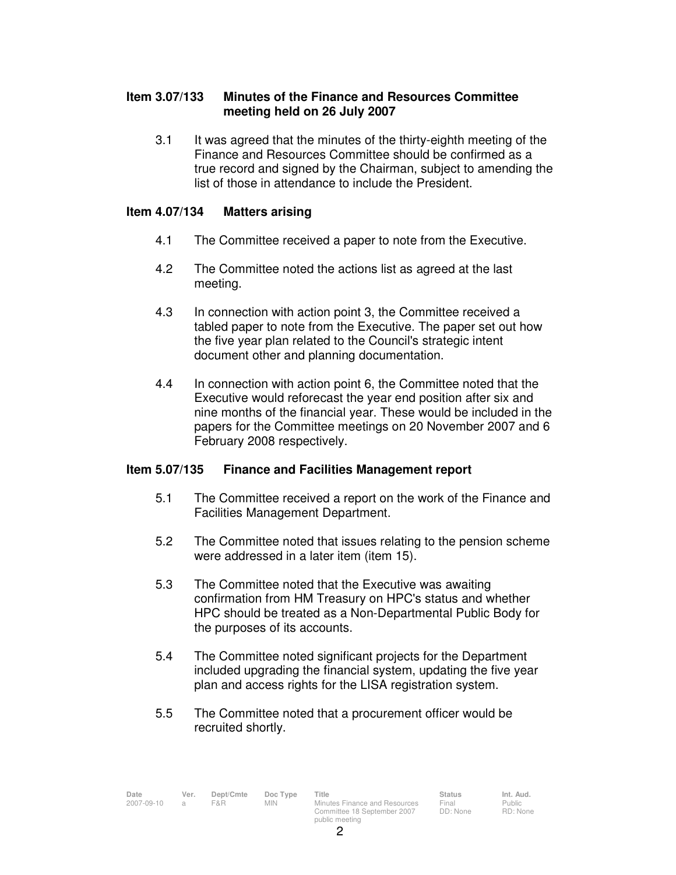# **Item 3.07/133 Minutes of the Finance and Resources Committee meeting held on 26 July 2007**

3.1 It was agreed that the minutes of the thirty-eighth meeting of the Finance and Resources Committee should be confirmed as a true record and signed by the Chairman, subject to amending the list of those in attendance to include the President.

# **Item 4.07/134 Matters arising**

- 4.1 The Committee received a paper to note from the Executive.
- 4.2 The Committee noted the actions list as agreed at the last meeting.
- 4.3 In connection with action point 3, the Committee received a tabled paper to note from the Executive. The paper set out how the five year plan related to the Council's strategic intent document other and planning documentation.
- 4.4 In connection with action point 6, the Committee noted that the Executive would reforecast the year end position after six and nine months of the financial year. These would be included in the papers for the Committee meetings on 20 November 2007 and 6 February 2008 respectively.

# **Item 5.07/135 Finance and Facilities Management report**

- 5.1 The Committee received a report on the work of the Finance and Facilities Management Department.
- 5.2 The Committee noted that issues relating to the pension scheme were addressed in a later item (item 15).
- 5.3 The Committee noted that the Executive was awaiting confirmation from HM Treasury on HPC's status and whether HPC should be treated as a Non-Departmental Public Body for the purposes of its accounts.
- 5.4 The Committee noted significant projects for the Department included upgrading the financial system, updating the five year plan and access rights for the LISA registration system.
- 5.5 The Committee noted that a procurement officer would be recruited shortly.

public meeting

 $\mathfrak{p}$ 

Public RD: None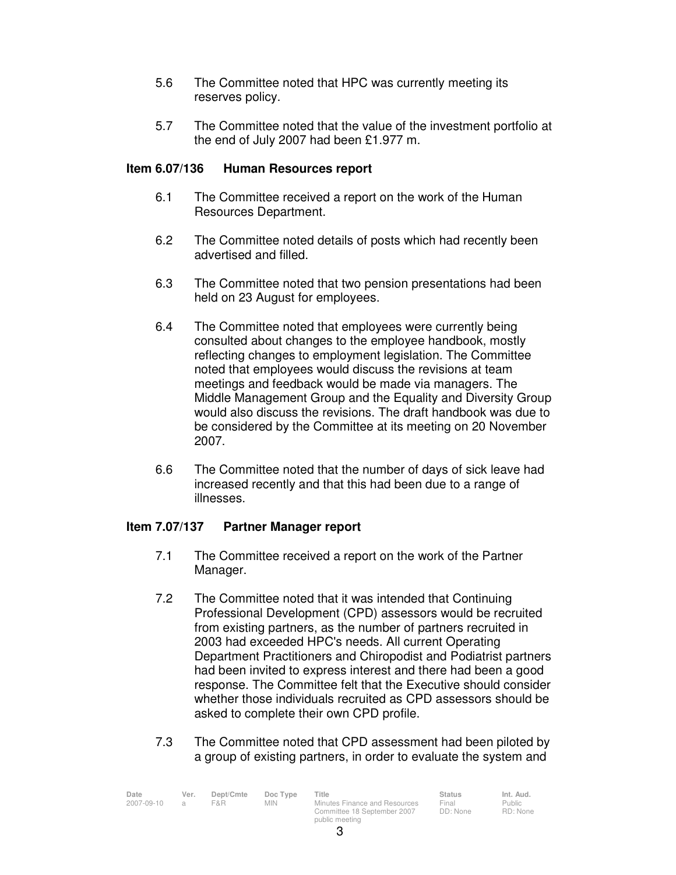- 5.6 The Committee noted that HPC was currently meeting its reserves policy.
- 5.7 The Committee noted that the value of the investment portfolio at the end of July 2007 had been £1.977 m.

# **Item 6.07/136 Human Resources report**

- 6.1 The Committee received a report on the work of the Human Resources Department.
- 6.2 The Committee noted details of posts which had recently been advertised and filled.
- 6.3 The Committee noted that two pension presentations had been held on 23 August for employees.
- 6.4 The Committee noted that employees were currently being consulted about changes to the employee handbook, mostly reflecting changes to employment legislation. The Committee noted that employees would discuss the revisions at team meetings and feedback would be made via managers. The Middle Management Group and the Equality and Diversity Group would also discuss the revisions. The draft handbook was due to be considered by the Committee at its meeting on 20 November 2007.
- 6.6 The Committee noted that the number of days of sick leave had increased recently and that this had been due to a range of illnesses.

# **Item 7.07/137 Partner Manager report**

- 7.1 The Committee received a report on the work of the Partner Manager.
- 7.2 The Committee noted that it was intended that Continuing Professional Development (CPD) assessors would be recruited from existing partners, as the number of partners recruited in 2003 had exceeded HPC's needs. All current Operating Department Practitioners and Chiropodist and Podiatrist partners had been invited to express interest and there had been a good response. The Committee felt that the Executive should consider whether those individuals recruited as CPD assessors should be asked to complete their own CPD profile.
- 7.3 The Committee noted that CPD assessment had been piloted by a group of existing partners, in order to evaluate the system and

| Date       | Ver. | Dept/Cmte | Doc Type | Title                         | <b>Status</b> | Int. Aud. |
|------------|------|-----------|----------|-------------------------------|---------------|-----------|
| 2007-09-10 |      | F&R.      | MIN.     | Minutes Finance and Resources | Final         | Public    |
|            |      |           |          | Committee 18 September 2007   | DD: None      | RD: None  |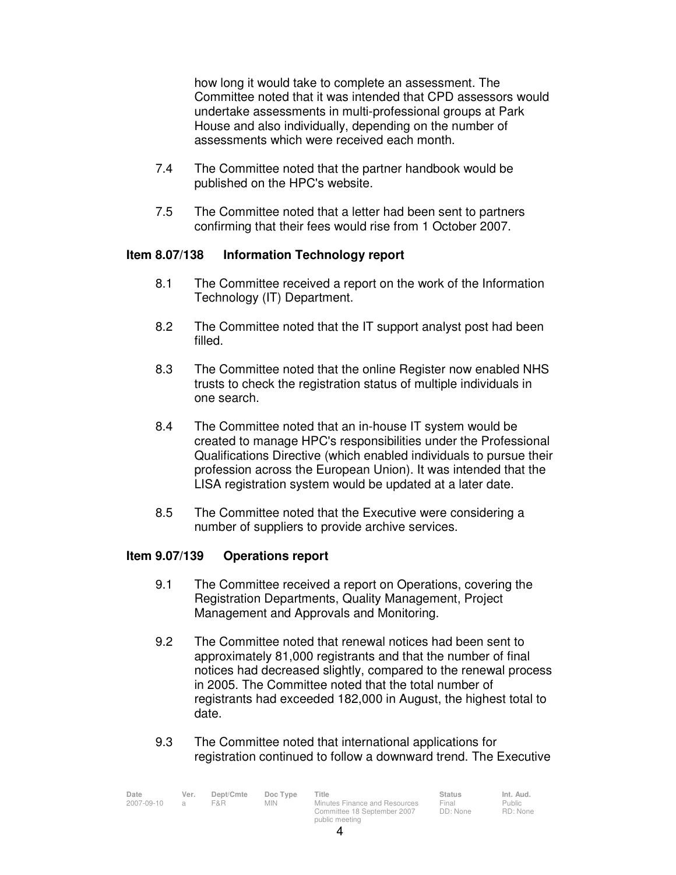how long it would take to complete an assessment. The Committee noted that it was intended that CPD assessors would undertake assessments in multi-professional groups at Park House and also individually, depending on the number of assessments which were received each month.

- 7.4 The Committee noted that the partner handbook would be published on the HPC's website.
- 7.5 The Committee noted that a letter had been sent to partners confirming that their fees would rise from 1 October 2007.

# **Item 8.07/138 Information Technology report**

- 8.1 The Committee received a report on the work of the Information Technology (IT) Department.
- 8.2 The Committee noted that the IT support analyst post had been filled.
- 8.3 The Committee noted that the online Register now enabled NHS trusts to check the registration status of multiple individuals in one search.
- 8.4 The Committee noted that an in-house IT system would be created to manage HPC's responsibilities under the Professional Qualifications Directive (which enabled individuals to pursue their profession across the European Union). It was intended that the LISA registration system would be updated at a later date.
- 8.5 The Committee noted that the Executive were considering a number of suppliers to provide archive services.

### **Item 9.07/139 Operations report**

- 9.1 The Committee received a report on Operations, covering the Registration Departments, Quality Management, Project Management and Approvals and Monitoring.
- 9.2 The Committee noted that renewal notices had been sent to approximately 81,000 registrants and that the number of final notices had decreased slightly, compared to the renewal process in 2005. The Committee noted that the total number of registrants had exceeded 182,000 in August, the highest total to date.
- 9.3 The Committee noted that international applications for registration continued to follow a downward trend. The Executive

| Date       | Ver.     | Dept/Cmte | Doc Type | Title                         | <b>Status</b> | Int. Aud. |
|------------|----------|-----------|----------|-------------------------------|---------------|-----------|
| 2007-09-10 | $\alpha$ | F&R.      | MIN.     | Minutes Finance and Resources | Final         | Public    |
|            |          |           |          | Committee 18 September 2007   | DD: None      | RD: None  |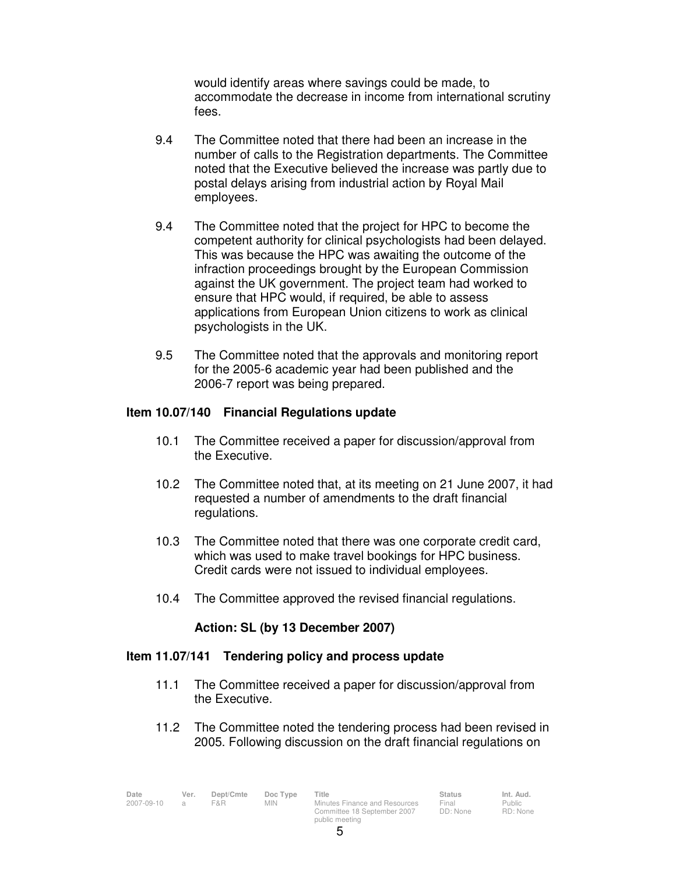would identify areas where savings could be made, to accommodate the decrease in income from international scrutiny fees.

- 9.4 The Committee noted that there had been an increase in the number of calls to the Registration departments. The Committee noted that the Executive believed the increase was partly due to postal delays arising from industrial action by Royal Mail employees.
- 9.4 The Committee noted that the project for HPC to become the competent authority for clinical psychologists had been delayed. This was because the HPC was awaiting the outcome of the infraction proceedings brought by the European Commission against the UK government. The project team had worked to ensure that HPC would, if required, be able to assess applications from European Union citizens to work as clinical psychologists in the UK.
- 9.5 The Committee noted that the approvals and monitoring report for the 2005-6 academic year had been published and the 2006-7 report was being prepared.

#### **Item 10.07/140 Financial Regulations update**

- 10.1 The Committee received a paper for discussion/approval from the Executive.
- 10.2 The Committee noted that, at its meeting on 21 June 2007, it had requested a number of amendments to the draft financial regulations.
- 10.3 The Committee noted that there was one corporate credit card, which was used to make travel bookings for HPC business. Credit cards were not issued to individual employees.
- 10.4 The Committee approved the revised financial regulations.

### **Action: SL (by 13 December 2007)**

### **Item 11.07/141 Tendering policy and process update**

- 11.1 The Committee received a paper for discussion/approval from the Executive.
- 11.2 The Committee noted the tendering process had been revised in 2005. Following discussion on the draft financial regulations on

| Date         | Ver. | Dept/Cmte | Doc Type   | Title                         | <b>Status</b>    | Int. Aud.      |
|--------------|------|-----------|------------|-------------------------------|------------------|----------------|
| 2007-09-10 a |      | F&R.      | <b>MIN</b> | Minutes Finance and Resources | Final            | Public         |
|              |      |           |            | 0.0007                        | $\Box \Box \Box$ | $D D.$ $N12.2$ |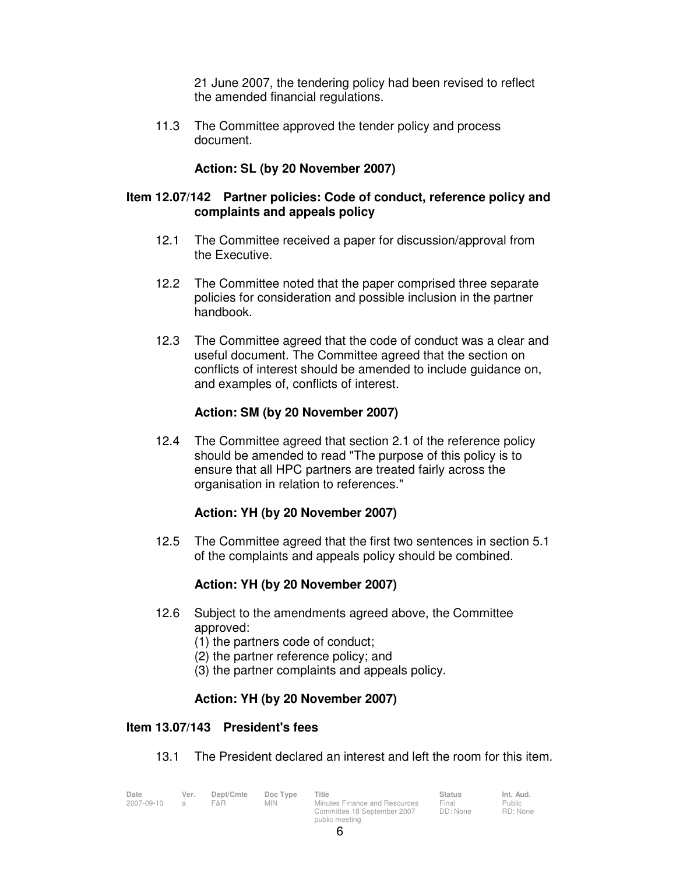21 June 2007, the tendering policy had been revised to reflect the amended financial regulations.

 11.3 The Committee approved the tender policy and process document.

# **Action: SL (by 20 November 2007)**

## **Item 12.07/142 Partner policies: Code of conduct, reference policy and complaints and appeals policy**

- 12.1 The Committee received a paper for discussion/approval from the Executive.
- 12.2 The Committee noted that the paper comprised three separate policies for consideration and possible inclusion in the partner handbook.
- 12.3 The Committee agreed that the code of conduct was a clear and useful document. The Committee agreed that the section on conflicts of interest should be amended to include guidance on, and examples of, conflicts of interest.

## **Action: SM (by 20 November 2007)**

12.4 The Committee agreed that section 2.1 of the reference policy should be amended to read "The purpose of this policy is to ensure that all HPC partners are treated fairly across the organisation in relation to references."

### **Action: YH (by 20 November 2007)**

 12.5 The Committee agreed that the first two sentences in section 5.1 of the complaints and appeals policy should be combined.

# **Action: YH (by 20 November 2007)**

- 12.6 Subject to the amendments agreed above, the Committee approved:
	- (1) the partners code of conduct;
	- (2) the partner reference policy; and
	- (3) the partner complaints and appeals policy.

## **Action: YH (by 20 November 2007)**

## **Item 13.07/143 President's fees**

13.1 The President declared an interest and left the room for this item.

| Date       | Ver.           | Dept/Cmte | Doc Type   | Title                         | Status   | Int. Aud.     |
|------------|----------------|-----------|------------|-------------------------------|----------|---------------|
| 2007-09-10 | $\overline{a}$ | F&R.      | <b>MIN</b> | Minutes Finance and Resources | Final    | <b>Public</b> |
|            |                |           |            | Committee 18 September 2007   | DD: None | RD: None      |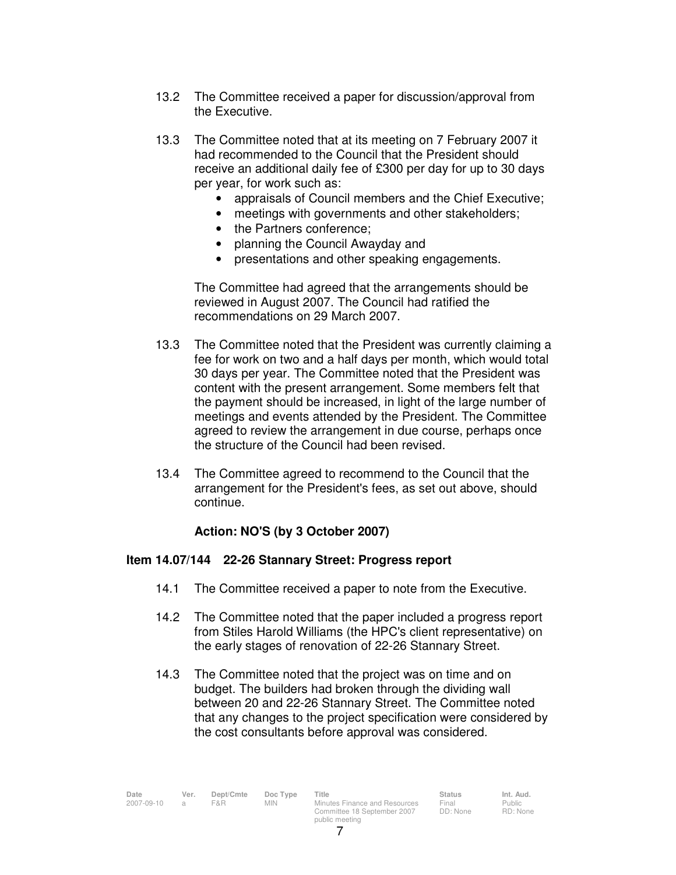- 13.2 The Committee received a paper for discussion/approval from the Executive.
- 13.3 The Committee noted that at its meeting on 7 February 2007 it had recommended to the Council that the President should receive an additional daily fee of £300 per day for up to 30 days per year, for work such as:
	- appraisals of Council members and the Chief Executive;
	- meetings with governments and other stakeholders;
	- the Partners conference;
	- planning the Council Awayday and
	- presentations and other speaking engagements.

The Committee had agreed that the arrangements should be reviewed in August 2007. The Council had ratified the recommendations on 29 March 2007.

- 13.3 The Committee noted that the President was currently claiming a fee for work on two and a half days per month, which would total 30 days per year. The Committee noted that the President was content with the present arrangement. Some members felt that the payment should be increased, in light of the large number of meetings and events attended by the President. The Committee agreed to review the arrangement in due course, perhaps once the structure of the Council had been revised.
- 13.4 The Committee agreed to recommend to the Council that the arrangement for the President's fees, as set out above, should continue.

# **Action: NO'S (by 3 October 2007)**

# **Item 14.07/144 22-26 Stannary Street: Progress report**

- 14.1 The Committee received a paper to note from the Executive.
- 14.2 The Committee noted that the paper included a progress report from Stiles Harold Williams (the HPC's client representative) on the early stages of renovation of 22-26 Stannary Street.
- 14.3 The Committee noted that the project was on time and on budget. The builders had broken through the dividing wall between 20 and 22-26 Stannary Street. The Committee noted that any changes to the project specification were considered by the cost consultants before approval was considered.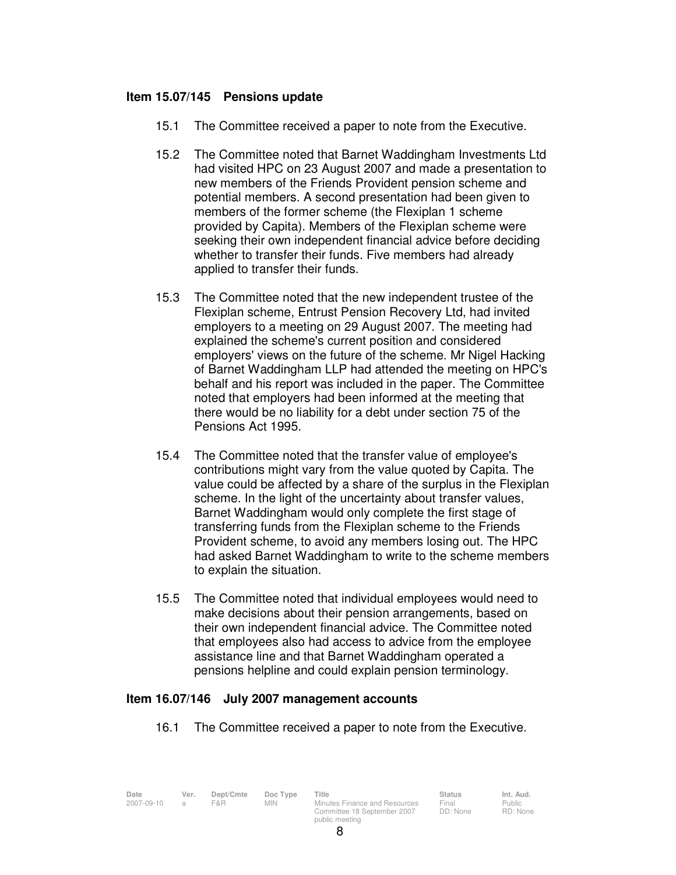## **Item 15.07/145 Pensions update**

- 15.1 The Committee received a paper to note from the Executive.
- 15.2 The Committee noted that Barnet Waddingham Investments Ltd had visited HPC on 23 August 2007 and made a presentation to new members of the Friends Provident pension scheme and potential members. A second presentation had been given to members of the former scheme (the Flexiplan 1 scheme provided by Capita). Members of the Flexiplan scheme were seeking their own independent financial advice before deciding whether to transfer their funds. Five members had already applied to transfer their funds.
- 15.3 The Committee noted that the new independent trustee of the Flexiplan scheme, Entrust Pension Recovery Ltd, had invited employers to a meeting on 29 August 2007. The meeting had explained the scheme's current position and considered employers' views on the future of the scheme. Mr Nigel Hacking of Barnet Waddingham LLP had attended the meeting on HPC's behalf and his report was included in the paper. The Committee noted that employers had been informed at the meeting that there would be no liability for a debt under section 75 of the Pensions Act 1995.
- 15.4 The Committee noted that the transfer value of employee's contributions might vary from the value quoted by Capita. The value could be affected by a share of the surplus in the Flexiplan scheme. In the light of the uncertainty about transfer values, Barnet Waddingham would only complete the first stage of transferring funds from the Flexiplan scheme to the Friends Provident scheme, to avoid any members losing out. The HPC had asked Barnet Waddingham to write to the scheme members to explain the situation.
- 15.5 The Committee noted that individual employees would need to make decisions about their pension arrangements, based on their own independent financial advice. The Committee noted that employees also had access to advice from the employee assistance line and that Barnet Waddingham operated a pensions helpline and could explain pension terminology.

### **Item 16.07/146 July 2007 management accounts**

16.1 The Committee received a paper to note from the Executive.

| Date       | Ver. | Dept/Cmte | Doc Type | Title                         | <b>Status</b> | Int. Aud. |
|------------|------|-----------|----------|-------------------------------|---------------|-----------|
| 2007-09-10 |      | F&R       | MIN      | Minutes Finance and Resources | Final         | Public    |
|            |      |           |          | Committee 18 September 2007   | DD: None      | RD: Non   |
|            |      |           |          | public meeting                |               |           |

Public RD: None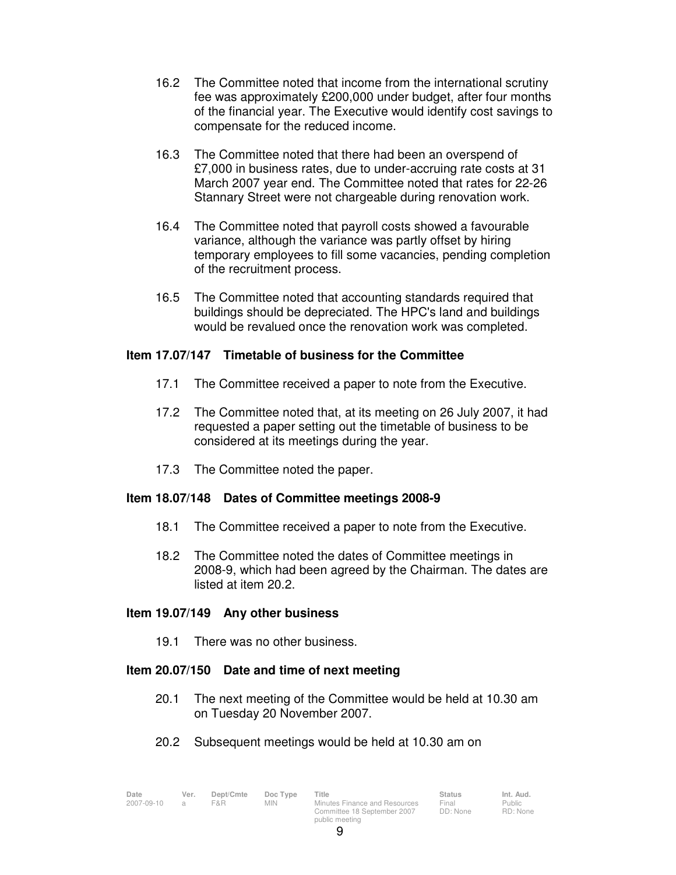- 16.2 The Committee noted that income from the international scrutiny fee was approximately £200,000 under budget, after four months of the financial year. The Executive would identify cost savings to compensate for the reduced income.
- 16.3 The Committee noted that there had been an overspend of £7,000 in business rates, due to under-accruing rate costs at 31 March 2007 year end. The Committee noted that rates for 22-26 Stannary Street were not chargeable during renovation work.
- 16.4 The Committee noted that payroll costs showed a favourable variance, although the variance was partly offset by hiring temporary employees to fill some vacancies, pending completion of the recruitment process.
- 16.5 The Committee noted that accounting standards required that buildings should be depreciated. The HPC's land and buildings would be revalued once the renovation work was completed.

# **Item 17.07/147 Timetable of business for the Committee**

- 17.1 The Committee received a paper to note from the Executive.
- 17.2 The Committee noted that, at its meeting on 26 July 2007, it had requested a paper setting out the timetable of business to be considered at its meetings during the year.
- 17.3 The Committee noted the paper.

# **Item 18.07/148 Dates of Committee meetings 2008-9**

- 18.1 The Committee received a paper to note from the Executive.
- 18.2 The Committee noted the dates of Committee meetings in 2008-9, which had been agreed by the Chairman. The dates are listed at item 20.2.

### **Item 19.07/149 Any other business**

19.1 There was no other business.

## **Item 20.07/150 Date and time of next meeting**

- 20.1 The next meeting of the Committee would be held at 10.30 am on Tuesday 20 November 2007.
- 20.2 Subsequent meetings would be held at 10.30 am on

| Date       | Ver. | Dept/Cmte | Doc Type | Title                         | <b>Status</b> | Int. Aud. |
|------------|------|-----------|----------|-------------------------------|---------------|-----------|
| 2007-09-10 |      | F&R       | MIN      | Minutes Finance and Resources | Final         | Public    |
|            |      |           |          | Committee 18 September 2007   | DD: None      | RD: Non   |
|            |      |           |          | public meeting                |               |           |